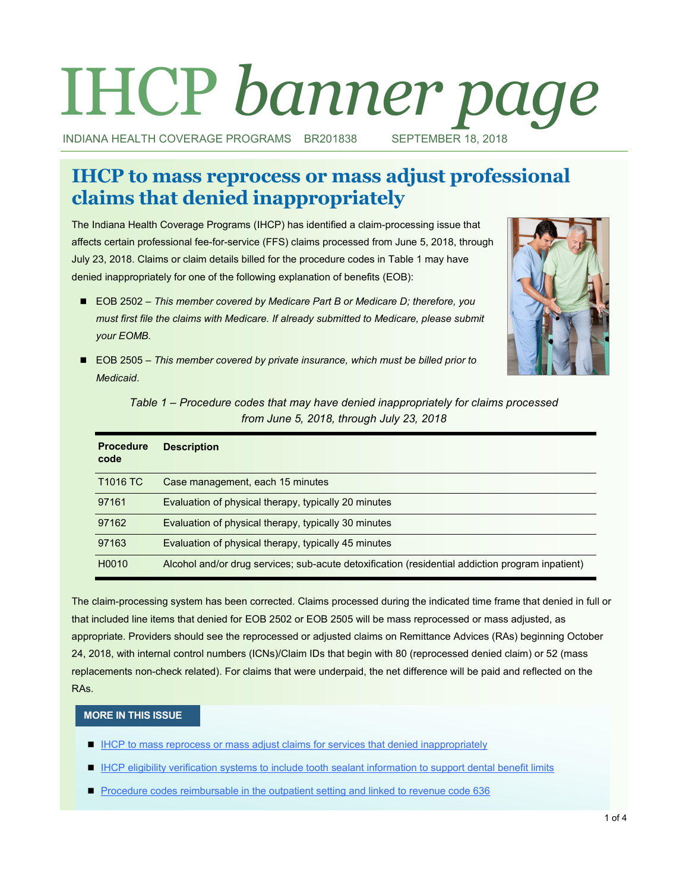# IHCP *banner page*

INDIANA HEALTH COVERAGE PROGRAMS BR201838 SEPTEMBER 18, 2018

# **IHCP to mass reprocess or mass adjust professional claims that denied inappropriately**

The Indiana Health Coverage Programs (IHCP) has identified a claim-processing issue that affects certain professional fee-for-service (FFS) claims processed from June 5, 2018, through July 23, 2018. Claims or claim details billed for the procedure codes in Table 1 may have denied inappropriately for one of the following explanation of benefits (EOB):

■ EOB 2502 – *This member covered by Medicare Part B or Medicare D; therefore, you must first file the claims with Medicare. If already submitted to Medicare, please submit your EOMB.*



■ EOB 2505 – *This member covered by private insurance, which must be billed prior to Medicaid*.

| Table 1 – Procedure codes that may have denied inappropriately for claims processed |
|-------------------------------------------------------------------------------------|
| from June 5, 2018, through July 23, 2018                                            |

| <b>Procedure</b><br>code | <b>Description</b>                                                                               |
|--------------------------|--------------------------------------------------------------------------------------------------|
| T <sub>1016</sub> TC     | Case management, each 15 minutes                                                                 |
| 97161                    | Evaluation of physical therapy, typically 20 minutes                                             |
| 97162                    | Evaluation of physical therapy, typically 30 minutes                                             |
| 97163                    | Evaluation of physical therapy, typically 45 minutes                                             |
| H <sub>0</sub> 010       | Alcohol and/or drug services; sub-acute detoxification (residential addiction program inpatient) |

The claim-processing system has been corrected. Claims processed during the indicated time frame that denied in full or that included line items that denied for EOB 2502 or EOB 2505 will be mass reprocessed or mass adjusted, as appropriate. Providers should see the reprocessed or adjusted claims on Remittance Advices (RAs) beginning October 24, 2018, with internal control numbers (ICNs)/Claim IDs that begin with 80 (reprocessed denied claim) or 52 (mass replacements non-check related). For claims that were underpaid, the net difference will be paid and reflected on the RAs.

#### **MORE IN THIS ISSUE**

- **[IHCP to mass reprocess or mass adjust claims for services that denied inappropriately](#page-1-0)**
- **[IHCP eligibility verification systems to include tooth sealant information to support dental benefit limits](#page-1-0)**
- **[Procedure codes reimbursable in the outpatient setting and linked to revenue code 636](#page-2-0)**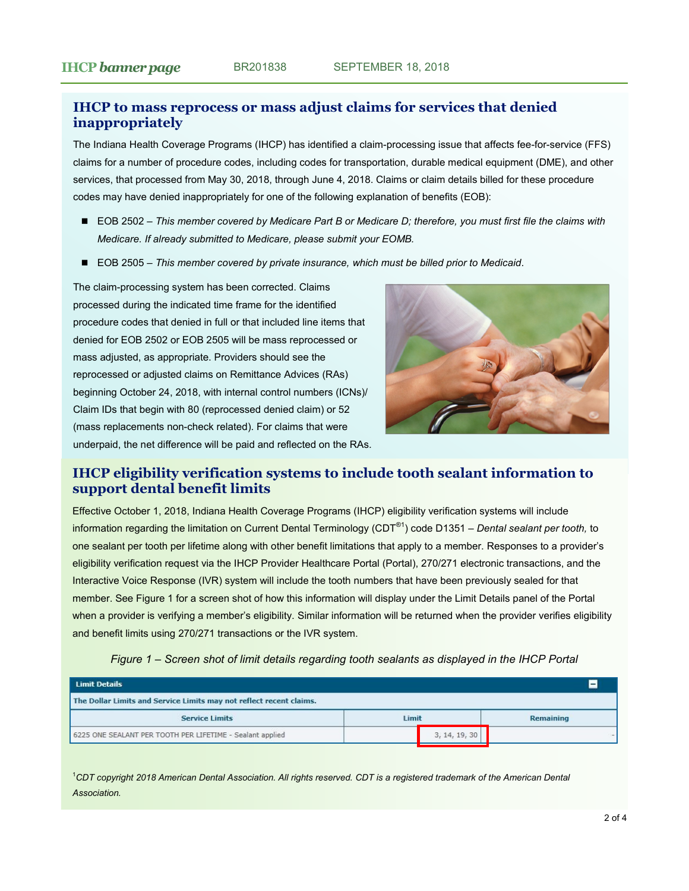# <span id="page-1-0"></span>**IHCP to mass reprocess or mass adjust claims for services that denied inappropriately**

The Indiana Health Coverage Programs (IHCP) has identified a claim-processing issue that affects fee-for-service (FFS) claims for a number of procedure codes, including codes for transportation, durable medical equipment (DME), and other services, that processed from May 30, 2018, through June 4, 2018. Claims or claim details billed for these procedure codes may have denied inappropriately for one of the following explanation of benefits (EOB):

- EOB 2502 This member covered by Medicare Part B or Medicare D; therefore, you must first file the claims with *Medicare. If already submitted to Medicare, please submit your EOMB.*
- EOB 2505 *This member covered by private insurance, which must be billed prior to Medicaid*.

The claim-processing system has been corrected. Claims processed during the indicated time frame for the identified procedure codes that denied in full or that included line items that denied for EOB 2502 or EOB 2505 will be mass reprocessed or mass adjusted, as appropriate. Providers should see the reprocessed or adjusted claims on Remittance Advices (RAs) beginning October 24, 2018, with internal control numbers (ICNs)/ Claim IDs that begin with 80 (reprocessed denied claim) or 52 (mass replacements non-check related). For claims that were underpaid, the net difference will be paid and reflected on the RAs.



# **IHCP eligibility verification systems to include tooth sealant information to support dental benefit limits**

Effective October 1, 2018, Indiana Health Coverage Programs (IHCP) eligibility verification systems will include information regarding the limitation on Current Dental Terminology (CDT®1) code D1351 – *Dental sealant per tooth,* to one sealant per tooth per lifetime along with other benefit limitations that apply to a member. Responses to a provider's eligibility verification request via the IHCP Provider Healthcare Portal (Portal), 270/271 electronic transactions, and the Interactive Voice Response (IVR) system will include the tooth numbers that have been previously sealed for that member. See Figure 1 for a screen shot of how this information will display under the Limit Details panel of the Portal when a provider is verifying a member's eligibility. Similar information will be returned when the provider verifies eligibility and benefit limits using 270/271 transactions or the IVR system.

| <b>Limit Details</b>                                                |               | -         |  |  |
|---------------------------------------------------------------------|---------------|-----------|--|--|
| The Dollar Limits and Service Limits may not reflect recent claims. |               |           |  |  |
| <b>Service Limits</b>                                               | Limit         | Remaining |  |  |
| 6225 ONE SEALANT PER TOOTH PER LIFETIME - Sealant applied           | 3, 14, 19, 30 |           |  |  |

*Figure 1 – Screen shot of limit details regarding tooth sealants as displayed in the IHCP Portal*

<sup>1</sup>*CDT copyright 2018 American Dental Association. All rights reserved. CDT is a registered trademark of the American Dental Association.*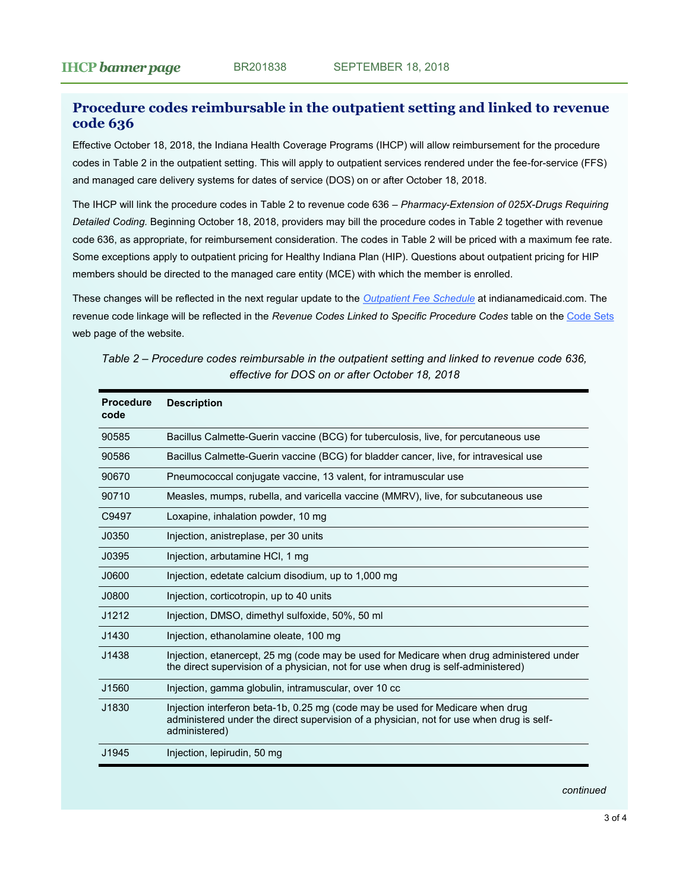# <span id="page-2-0"></span>**Procedure codes reimbursable in the outpatient setting and linked to revenue code 636**

Effective October 18, 2018, the Indiana Health Coverage Programs (IHCP) will allow reimbursement for the procedure codes in Table 2 in the outpatient setting*.* This will apply to outpatient services rendered under the fee-for-service (FFS) and managed care delivery systems for dates of service (DOS) on or after October 18, 2018.

The IHCP will link the procedure codes in Table 2 to revenue code 636 – *Pharmacy-Extension of 025X-Drugs Requiring Detailed Coding.* Beginning October 18, 2018, providers may bill the procedure codes in Table 2 together with revenue code 636, as appropriate, for reimbursement consideration. The codes in Table 2 will be priced with a maximum fee rate. Some exceptions apply to outpatient pricing for Healthy Indiana Plan (HIP). Questions about outpatient pricing for HIP members should be directed to the managed care entity (MCE) with which the member is enrolled.

These changes will be reflected in the next regular update to the *[Outpatient Fee Schedule](http://provider.indianamedicaid.com/ihcp/Publications/MaxFee/fee_schedule.asp)* at indianamedicaid.com. The revenue code linkage will be reflected in the *Revenue Codes Linked to Specific Procedure Codes* table on the [Code Sets](http://provider.indianamedicaid.com/general-provider-services/billing-and-remittance/code-sets.aspx) web page of the website.

| <b>Procedure</b><br>code | <b>Description</b>                                                                                                                                                                          |
|--------------------------|---------------------------------------------------------------------------------------------------------------------------------------------------------------------------------------------|
| 90585                    | Bacillus Calmette-Guerin vaccine (BCG) for tuberculosis, live, for percutaneous use                                                                                                         |
| 90586                    | Bacillus Calmette-Guerin vaccine (BCG) for bladder cancer, live, for intravesical use                                                                                                       |
| 90670                    | Pneumococcal conjugate vaccine, 13 valent, for intramuscular use                                                                                                                            |
| 90710                    | Measles, mumps, rubella, and varicella vaccine (MMRV), live, for subcutaneous use                                                                                                           |
| C9497                    | Loxapine, inhalation powder, 10 mg                                                                                                                                                          |
| J0350                    | Injection, anistreplase, per 30 units                                                                                                                                                       |
| J0395                    | Injection, arbutamine HCI, 1 mg                                                                                                                                                             |
| J0600                    | Injection, edetate calcium disodium, up to 1,000 mg                                                                                                                                         |
| J0800                    | Injection, corticotropin, up to 40 units                                                                                                                                                    |
| J1212                    | Injection, DMSO, dimethyl sulfoxide, 50%, 50 ml                                                                                                                                             |
| J1430                    | Injection, ethanolamine oleate, 100 mg                                                                                                                                                      |
| J1438                    | Injection, etanercept, 25 mg (code may be used for Medicare when drug administered under<br>the direct supervision of a physician, not for use when drug is self-administered)              |
| J1560                    | Injection, gamma globulin, intramuscular, over 10 cc                                                                                                                                        |
| J1830                    | Injection interferon beta-1b, 0.25 mg (code may be used for Medicare when drug<br>administered under the direct supervision of a physician, not for use when drug is self-<br>administered) |
| J1945                    | Injection, lepirudin, 50 mg                                                                                                                                                                 |

*Table 2 – Procedure codes reimbursable in the outpatient setting and linked to revenue code 636, effective for DOS on or after October 18, 2018* 

*continued*